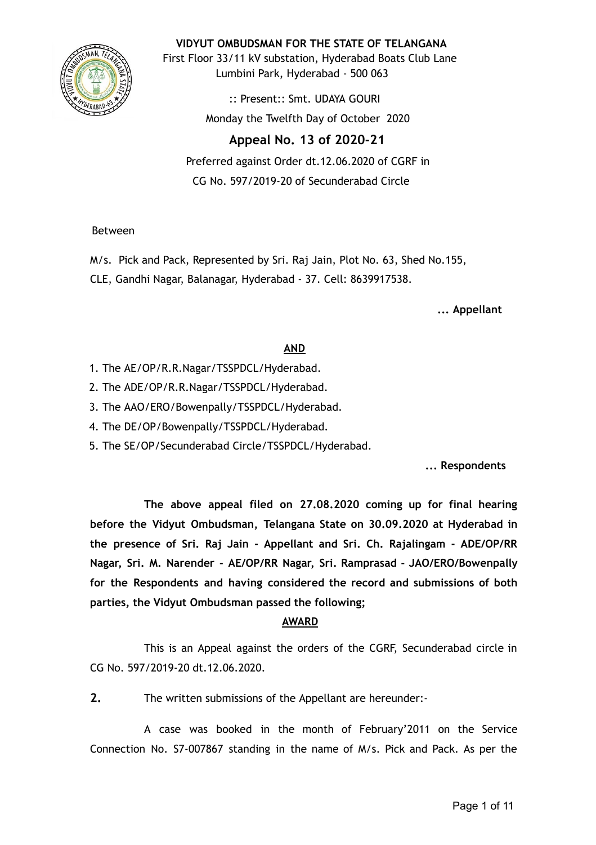

**VIDYUT OMBUDSMAN FOR THE STATE OF TELANGANA**

First Floor 33/11 kV substation, Hyderabad Boats Club Lane Lumbini Park, Hyderabad - 500 063

> :: Present:: Smt. UDAYA GOURI Monday the Twelfth Day of October 2020

# **Appeal No. 13 of 2020-21**

Preferred against Order dt.12.06.2020 of CGRF in CG No. 597/2019-20 of Secunderabad Circle

# Between

M/s. Pick and Pack, Represented by Sri. Raj Jain, Plot No. 63, Shed No.155,

CLE, Gandhi Nagar, Balanagar, Hyderabad - 37. Cell: 8639917538.

**... Appellant**

# **AND**

- 1. The AE/OP/R.R.Nagar/TSSPDCL/Hyderabad.
- 2. The ADE/OP/R.R.Nagar/TSSPDCL/Hyderabad.
- 3. The AAO/ERO/Bowenpally/TSSPDCL/Hyderabad.
- 4. The DE/OP/Bowenpally/TSSPDCL/Hyderabad.
- 5. The SE/OP/Secunderabad Circle/TSSPDCL/Hyderabad.

**... Respondents**

**The above appeal filed on 27.08.2020 coming up for final hearing before the Vidyut Ombudsman, Telangana State on 30.09.2020 at Hyderabad in the presence of Sri. Raj Jain - Appellant and Sri. Ch. Rajalingam - ADE/OP/RR Nagar, Sri. M. Narender - AE/OP/RR Nagar, Sri. Ramprasad - JAO/ERO/Bowenpally for the Respondents and having considered the record and submissions of both parties, the Vidyut Ombudsman passed the following;**

# **AWARD**

This is an Appeal against the orders of the CGRF, Secunderabad circle in CG No. 597/2019-20 dt.12.06.2020.

**2.** The written submissions of the Appellant are hereunder:-

A case was booked in the month of February'2011 on the Service Connection No. S7-007867 standing in the name of M/s. Pick and Pack. As per the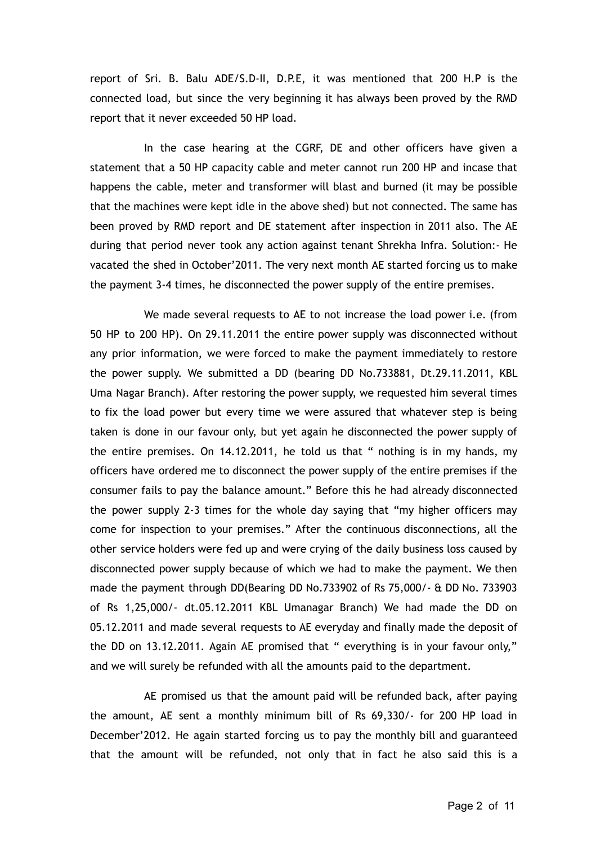report of Sri. B. Balu ADE/S.D-II, D.P.E, it was mentioned that 200 H.P is the connected load, but since the very beginning it has always been proved by the RMD report that it never exceeded 50 HP load.

In the case hearing at the CGRF, DE and other officers have given a statement that a 50 HP capacity cable and meter cannot run 200 HP and incase that happens the cable, meter and transformer will blast and burned (it may be possible that the machines were kept idle in the above shed) but not connected. The same has been proved by RMD report and DE statement after inspection in 2011 also. The AE during that period never took any action against tenant Shrekha Infra. Solution:- He vacated the shed in October'2011. The very next month AE started forcing us to make the payment 3-4 times, he disconnected the power supply of the entire premises.

We made several requests to AE to not increase the load power i.e. (from 50 HP to 200 HP). On 29.11.2011 the entire power supply was disconnected without any prior information, we were forced to make the payment immediately to restore the power supply. We submitted a DD (bearing DD No.733881, Dt.29.11.2011, KBL Uma Nagar Branch). After restoring the power supply, we requested him several times to fix the load power but every time we were assured that whatever step is being taken is done in our favour only, but yet again he disconnected the power supply of the entire premises. On 14.12.2011, he told us that " nothing is in my hands, my officers have ordered me to disconnect the power supply of the entire premises if the consumer fails to pay the balance amount." Before this he had already disconnected the power supply 2-3 times for the whole day saying that "my higher officers may come for inspection to your premises." After the continuous disconnections, all the other service holders were fed up and were crying of the daily business loss caused by disconnected power supply because of which we had to make the payment. We then made the payment through DD(Bearing DD No.733902 of Rs 75,000/- & DD No. 733903 of Rs 1,25,000/- dt.05.12.2011 KBL Umanagar Branch) We had made the DD on 05.12.2011 and made several requests to AE everyday and finally made the deposit of the DD on 13.12.2011. Again AE promised that " everything is in your favour only," and we will surely be refunded with all the amounts paid to the department.

AE promised us that the amount paid will be refunded back, after paying the amount, AE sent a monthly minimum bill of Rs 69,330/- for 200 HP load in December'2012. He again started forcing us to pay the monthly bill and guaranteed that the amount will be refunded, not only that in fact he also said this is a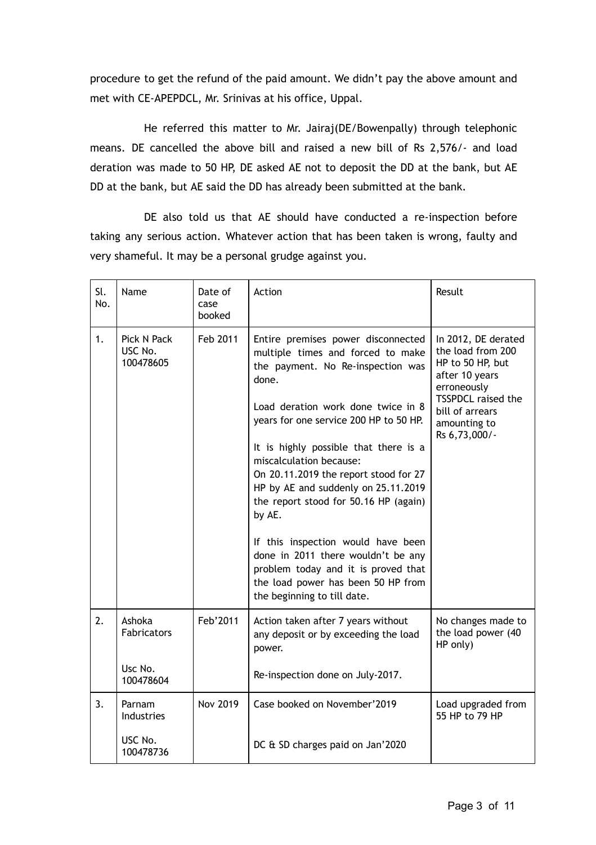procedure to get the refund of the paid amount. We didn't pay the above amount and met with CE-APEPDCL, Mr. Srinivas at his office, Uppal.

He referred this matter to Mr. Jairaj(DE/Bowenpally) through telephonic means. DE cancelled the above bill and raised a new bill of Rs 2,576/- and load deration was made to 50 HP, DE asked AE not to deposit the DD at the bank, but AE DD at the bank, but AE said the DD has already been submitted at the bank.

DE also told us that AE should have conducted a re-inspection before taking any serious action. Whatever action that has been taken is wrong, faulty and very shameful. It may be a personal grudge against you.

| Sl.<br>No. | Name                                          | Date of<br>case<br>booked | Action                                                                                                                                                                                                                                                                                                                                                                                                                                                                                                                                                                                               | Result                                                                                                                                                                  |
|------------|-----------------------------------------------|---------------------------|------------------------------------------------------------------------------------------------------------------------------------------------------------------------------------------------------------------------------------------------------------------------------------------------------------------------------------------------------------------------------------------------------------------------------------------------------------------------------------------------------------------------------------------------------------------------------------------------------|-------------------------------------------------------------------------------------------------------------------------------------------------------------------------|
| 1.         | Pick N Pack<br>USC No.<br>100478605           | Feb 2011                  | Entire premises power disconnected<br>multiple times and forced to make<br>the payment. No Re-inspection was<br>done.<br>Load deration work done twice in 8<br>years for one service 200 HP to 50 HP.<br>It is highly possible that there is a<br>miscalculation because:<br>On 20.11.2019 the report stood for 27<br>HP by AE and suddenly on 25.11.2019<br>the report stood for 50.16 HP (again)<br>by AE.<br>If this inspection would have been<br>done in 2011 there wouldn't be any<br>problem today and it is proved that<br>the load power has been 50 HP from<br>the beginning to till date. | In 2012, DE derated<br>the load from 200<br>HP to 50 HP, but<br>after 10 years<br>erroneously<br>TSSPDCL raised the<br>bill of arrears<br>amounting to<br>Rs 6,73,000/- |
| 2.         | Ashoka<br>Fabricators<br>Usc No.<br>100478604 | Feb'2011                  | Action taken after 7 years without<br>any deposit or by exceeding the load<br>power.<br>Re-inspection done on July-2017.                                                                                                                                                                                                                                                                                                                                                                                                                                                                             | No changes made to<br>the load power (40<br>HP only)                                                                                                                    |
| 3.         | Parnam<br>Industries                          | <b>Nov 2019</b>           | Case booked on November'2019                                                                                                                                                                                                                                                                                                                                                                                                                                                                                                                                                                         | Load upgraded from<br>55 HP to 79 HP                                                                                                                                    |
|            | USC No.<br>100478736                          |                           | DC & SD charges paid on Jan'2020                                                                                                                                                                                                                                                                                                                                                                                                                                                                                                                                                                     |                                                                                                                                                                         |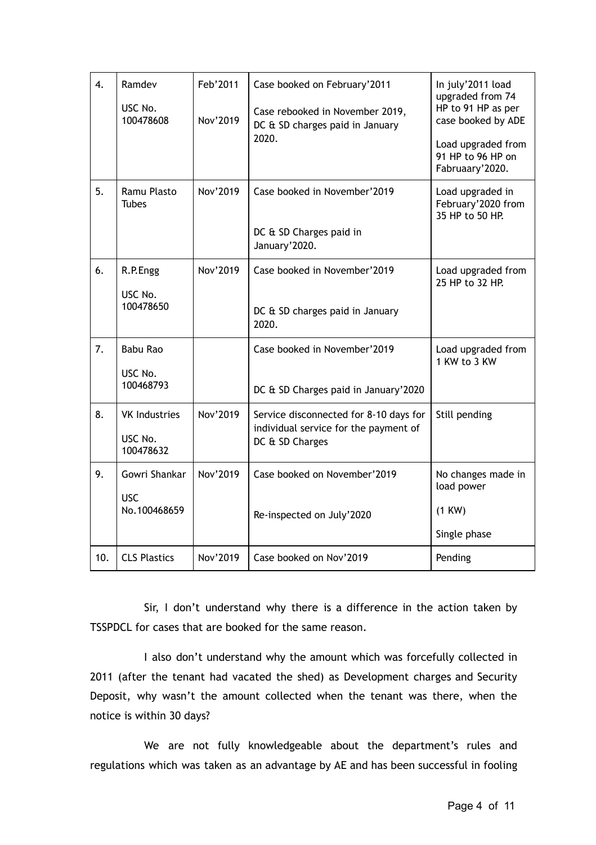| 4.  | Ramdev<br>USC No.<br>100478608               | Feb'2011<br>Nov'2019 | Case booked on February'2011<br>Case rebooked in November 2019,<br>DC & SD charges paid in January<br>2020. | In july'2011 load<br>upgraded from 74<br>HP to 91 HP as per<br>case booked by ADE<br>Load upgraded from<br>91 HP to 96 HP on<br>Fabruaary'2020. |
|-----|----------------------------------------------|----------------------|-------------------------------------------------------------------------------------------------------------|-------------------------------------------------------------------------------------------------------------------------------------------------|
| 5.  | Ramu Plasto<br><b>Tubes</b>                  | Nov'2019             | Case booked in November'2019<br>DC & SD Charges paid in<br>January'2020.                                    | Load upgraded in<br>February'2020 from<br>35 HP to 50 HP.                                                                                       |
| 6.  | R.P.Engg<br>USC No.<br>100478650             | Nov'2019             | Case booked in November'2019<br>DC & SD charges paid in January<br>2020.                                    | Load upgraded from<br>25 HP to 32 HP.                                                                                                           |
| 7.  | <b>Babu Rao</b><br>USC No.<br>100468793      |                      | Case booked in November'2019<br>DC & SD Charges paid in January'2020                                        | Load upgraded from<br>1 KW to 3 KW                                                                                                              |
| 8.  | <b>VK Industries</b><br>USC No.<br>100478632 | Nov'2019             | Service disconnected for 8-10 days for<br>individual service for the payment of<br>DC & SD Charges          | Still pending                                                                                                                                   |
| 9.  | Gowri Shankar<br><b>USC</b><br>No.100468659  | Nov'2019             | Case booked on November'2019<br>Re-inspected on July'2020                                                   | No changes made in<br>load power<br>(1 KW)<br>Single phase                                                                                      |
| 10. | <b>CLS Plastics</b>                          | Nov'2019             | Case booked on Nov'2019                                                                                     | Pending                                                                                                                                         |

Sir, I don't understand why there is a difference in the action taken by TSSPDCL for cases that are booked for the same reason.

I also don't understand why the amount which was forcefully collected in 2011 (after the tenant had vacated the shed) as Development charges and Security Deposit, why wasn't the amount collected when the tenant was there, when the notice is within 30 days?

We are not fully knowledgeable about the department's rules and regulations which was taken as an advantage by AE and has been successful in fooling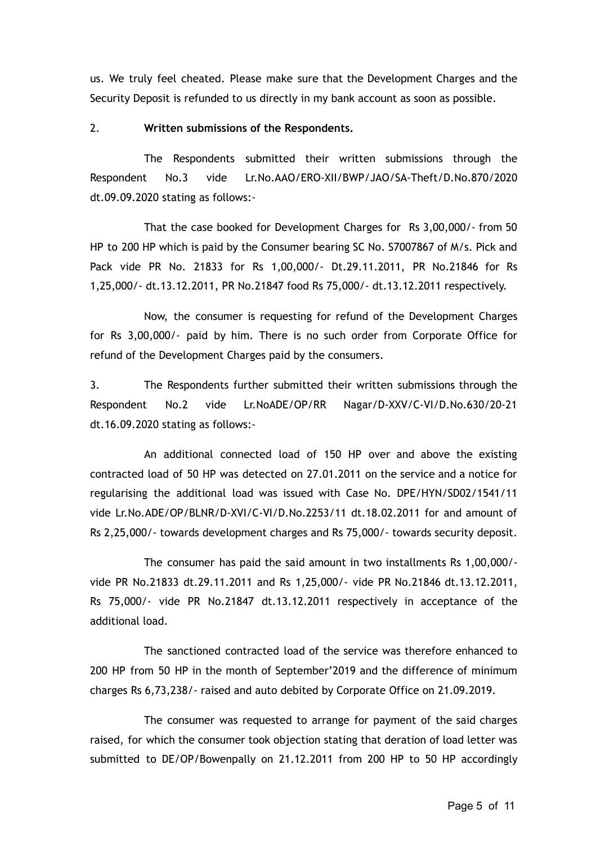us. We truly feel cheated. Please make sure that the Development Charges and the Security Deposit is refunded to us directly in my bank account as soon as possible.

### 2. **Written submissions of the Respondents.**

The Respondents submitted their written submissions through the Respondent No.3 vide Lr.No.AAO/ERO-XII/BWP/JAO/SA-Theft/D.No.870/2020 dt.09.09.2020 stating as follows:-

That the case booked for Development Charges for Rs 3,00,000/- from 50 HP to 200 HP which is paid by the Consumer bearing SC No. S7007867 of M/s. Pick and Pack vide PR No. 21833 for Rs 1,00,000/- Dt.29.11.2011, PR No.21846 for Rs 1,25,000/- dt.13.12.2011, PR No.21847 food Rs 75,000/- dt.13.12.2011 respectively.

Now, the consumer is requesting for refund of the Development Charges for Rs 3,00,000/- paid by him. There is no such order from Corporate Office for refund of the Development Charges paid by the consumers.

3. The Respondents further submitted their written submissions through the Respondent No.2 vide Lr.NoADE/OP/RR Nagar/D-XXV/C-VI/D.No.630/20-21 dt.16.09.2020 stating as follows:-

An additional connected load of 150 HP over and above the existing contracted load of 50 HP was detected on 27.01.2011 on the service and a notice for regularising the additional load was issued with Case No. DPE/HYN/SD02/1541/11 vide Lr.No.ADE/OP/BLNR/D-XVI/C-VI/D.No.2253/11 dt.18.02.2011 for and amount of Rs 2,25,000/- towards development charges and Rs 75,000/- towards security deposit.

The consumer has paid the said amount in two installments Rs 1,00,000/ vide PR No.21833 dt.29.11.2011 and Rs 1,25,000/- vide PR No.21846 dt.13.12.2011, Rs 75,000/- vide PR No.21847 dt.13.12.2011 respectively in acceptance of the additional load.

The sanctioned contracted load of the service was therefore enhanced to 200 HP from 50 HP in the month of September'2019 and the difference of minimum charges Rs 6,73,238/- raised and auto debited by Corporate Office on 21.09.2019.

The consumer was requested to arrange for payment of the said charges raised, for which the consumer took objection stating that deration of load letter was submitted to DE/OP/Bowenpally on 21.12.2011 from 200 HP to 50 HP accordingly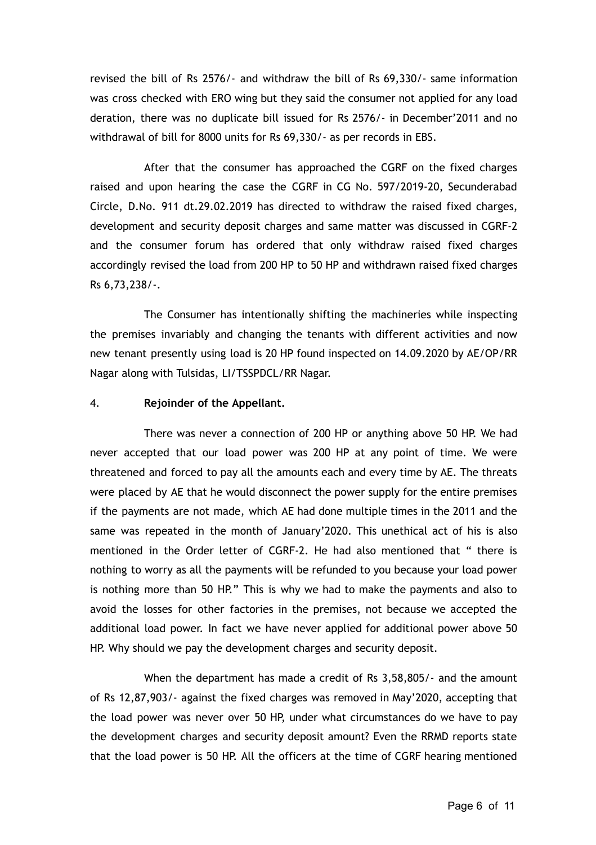revised the bill of Rs 2576/- and withdraw the bill of Rs 69,330/- same information was cross checked with ERO wing but they said the consumer not applied for any load deration, there was no duplicate bill issued for Rs 2576/- in December'2011 and no withdrawal of bill for 8000 units for Rs 69,330/- as per records in EBS.

After that the consumer has approached the CGRF on the fixed charges raised and upon hearing the case the CGRF in CG No. 597/2019-20, Secunderabad Circle, D.No. 911 dt.29.02.2019 has directed to withdraw the raised fixed charges, development and security deposit charges and same matter was discussed in CGRF-2 and the consumer forum has ordered that only withdraw raised fixed charges accordingly revised the load from 200 HP to 50 HP and withdrawn raised fixed charges Rs 6,73,238/-.

The Consumer has intentionally shifting the machineries while inspecting the premises invariably and changing the tenants with different activities and now new tenant presently using load is 20 HP found inspected on 14.09.2020 by AE/OP/RR Nagar along with Tulsidas, LI/TSSPDCL/RR Nagar.

#### 4. **Rejoinder of the Appellant.**

There was never a connection of 200 HP or anything above 50 HP. We had never accepted that our load power was 200 HP at any point of time. We were threatened and forced to pay all the amounts each and every time by AE. The threats were placed by AE that he would disconnect the power supply for the entire premises if the payments are not made, which AE had done multiple times in the 2011 and the same was repeated in the month of January'2020. This unethical act of his is also mentioned in the Order letter of CGRF-2. He had also mentioned that " there is nothing to worry as all the payments will be refunded to you because your load power is nothing more than 50 HP." This is why we had to make the payments and also to avoid the losses for other factories in the premises, not because we accepted the additional load power. In fact we have never applied for additional power above 50 HP. Why should we pay the development charges and security deposit.

When the department has made a credit of Rs 3,58,805/- and the amount of Rs 12,87,903/- against the fixed charges was removed in May'2020, accepting that the load power was never over 50 HP, under what circumstances do we have to pay the development charges and security deposit amount? Even the RRMD reports state that the load power is 50 HP. All the officers at the time of CGRF hearing mentioned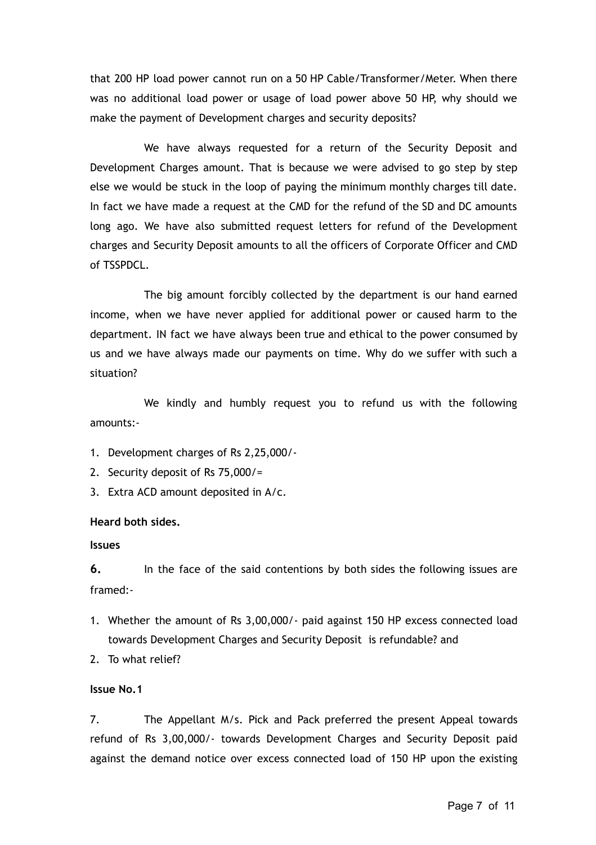that 200 HP load power cannot run on a 50 HP Cable/Transformer/Meter. When there was no additional load power or usage of load power above 50 HP, why should we make the payment of Development charges and security deposits?

We have always requested for a return of the Security Deposit and Development Charges amount. That is because we were advised to go step by step else we would be stuck in the loop of paying the minimum monthly charges till date. In fact we have made a request at the CMD for the refund of the SD and DC amounts long ago. We have also submitted request letters for refund of the Development charges and Security Deposit amounts to all the officers of Corporate Officer and CMD of TSSPDCL.

The big amount forcibly collected by the department is our hand earned income, when we have never applied for additional power or caused harm to the department. IN fact we have always been true and ethical to the power consumed by us and we have always made our payments on time. Why do we suffer with such a situation?

We kindly and humbly request you to refund us with the following amounts:-

- 1. Development charges of Rs 2,25,000/-
- 2. Security deposit of Rs 75,000/=
- 3. Extra ACD amount deposited in A/c.

#### **Heard both sides.**

#### **Issues**

**6.** In the face of the said contentions by both sides the following issues are framed:-

- 1. Whether the amount of Rs 3,00,000/- paid against 150 HP excess connected load towards Development Charges and Security Deposit is refundable? and
- 2. To what relief?

### **Issue No.1**

7. The Appellant M/s. Pick and Pack preferred the present Appeal towards refund of Rs 3,00,000/- towards Development Charges and Security Deposit paid against the demand notice over excess connected load of 150 HP upon the existing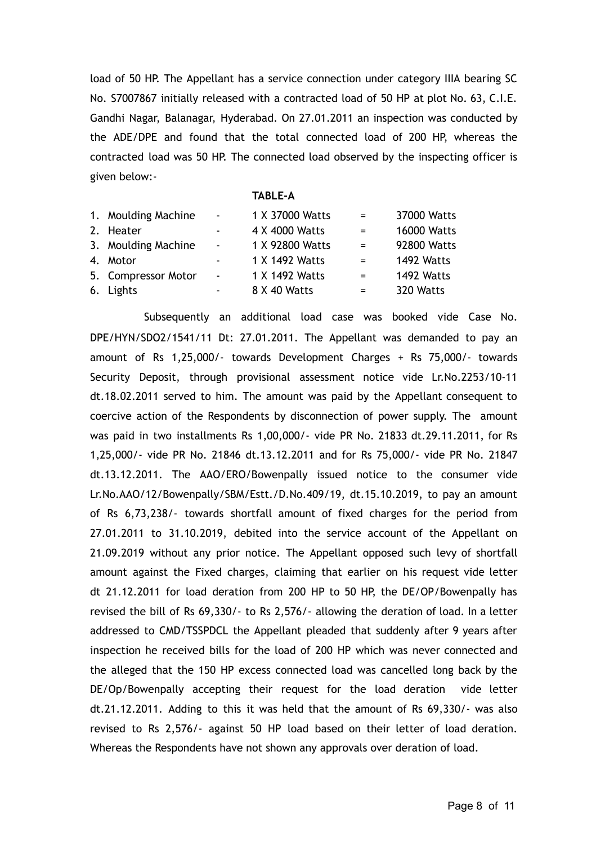load of 50 HP. The Appellant has a service connection under category IIIA bearing SC No. S7007867 initially released with a contracted load of 50 HP at plot No. 63, C.I.E. Gandhi Nagar, Balanagar, Hyderabad. On 27.01.2011 an inspection was conducted by the ADE/DPE and found that the total connected load of 200 HP, whereas the contracted load was 50 HP. The connected load observed by the inspecting officer is given below:-

#### **TABLE-A**

| 1. Moulding Machine | $\blacksquare$ | 1 X 37000 Watts | $=$                       | 37000 Watts        |
|---------------------|----------------|-----------------|---------------------------|--------------------|
| 2. Heater           | $\sim$         | 4 X 4000 Watts  | $=$                       | <b>16000 Watts</b> |
| 3. Moulding Machine | $\blacksquare$ | 1 X 92800 Watts | $\mathbf{r} = \mathbf{r}$ | 92800 Watts        |
| 4. Motor            | $\blacksquare$ | 1 X 1492 Watts  | $=$                       | 1492 Watts         |
| 5. Compressor Motor | $\blacksquare$ | 1 X 1492 Watts  | $=$                       | 1492 Watts         |
| 6. Lights           | ۰.             | 8 X 40 Watts    | $=$                       | 320 Watts          |
|                     |                |                 |                           |                    |

Subsequently an additional load case was booked vide Case No. DPE/HYN/SDO2/1541/11 Dt: 27.01.2011. The Appellant was demanded to pay an amount of Rs 1,25,000/- towards Development Charges + Rs 75,000/- towards Security Deposit, through provisional assessment notice vide Lr.No.2253/10-11 dt.18.02.2011 served to him. The amount was paid by the Appellant consequent to coercive action of the Respondents by disconnection of power supply. The amount was paid in two installments Rs 1,00,000/- vide PR No. 21833 dt.29.11.2011, for Rs 1,25,000/- vide PR No. 21846 dt.13.12.2011 and for Rs 75,000/- vide PR No. 21847 dt.13.12.2011. The AAO/ERO/Bowenpally issued notice to the consumer vide Lr.No.AAO/12/Bowenpally/SBM/Estt./D.No.409/19, dt.15.10.2019, to pay an amount of Rs 6,73,238/- towards shortfall amount of fixed charges for the period from 27.01.2011 to 31.10.2019, debited into the service account of the Appellant on 21.09.2019 without any prior notice. The Appellant opposed such levy of shortfall amount against the Fixed charges, claiming that earlier on his request vide letter dt 21.12.2011 for load deration from 200 HP to 50 HP, the DE/OP/Bowenpally has revised the bill of Rs 69,330/- to Rs 2,576/- allowing the deration of load. In a letter addressed to CMD/TSSPDCL the Appellant pleaded that suddenly after 9 years after inspection he received bills for the load of 200 HP which was never connected and the alleged that the 150 HP excess connected load was cancelled long back by the DE/Op/Bowenpally accepting their request for the load deration vide letter dt.21.12.2011. Adding to this it was held that the amount of Rs 69,330/- was also revised to Rs 2,576/- against 50 HP load based on their letter of load deration. Whereas the Respondents have not shown any approvals over deration of load.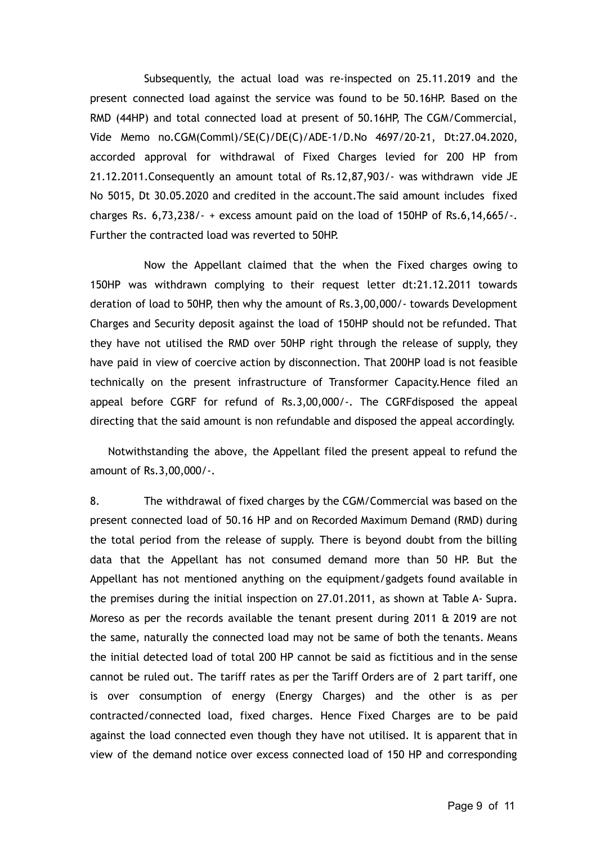Subsequently, the actual load was re-inspected on 25.11.2019 and the present connected load against the service was found to be 50.16HP. Based on the RMD (44HP) and total connected load at present of 50.16HP, The CGM/Commercial, Vide Memo no.CGM(Comml)/SE(C)/DE(C)/ADE-1/D.No 4697/20-21, Dt:27.04.2020, accorded approval for withdrawal of Fixed Charges levied for 200 HP from 21.12.2011.Consequently an amount total of Rs.12,87,903/- was withdrawn vide JE No 5015, Dt 30.05.2020 and credited in the account.The said amount includes fixed charges Rs.  $6,73,238/ - +$  excess amount paid on the load of 150HP of Rs.6,14,665/ $-$ . Further the contracted load was reverted to 50HP.

Now the Appellant claimed that the when the Fixed charges owing to 150HP was withdrawn complying to their request letter dt:21.12.2011 towards deration of load to 50HP, then why the amount of Rs.3,00,000/- towards Development Charges and Security deposit against the load of 150HP should not be refunded. That they have not utilised the RMD over 50HP right through the release of supply, they have paid in view of coercive action by disconnection. That 200HP load is not feasible technically on the present infrastructure of Transformer Capacity.Hence filed an appeal before CGRF for refund of Rs.3,00,000/-. The CGRFdisposed the appeal directing that the said amount is non refundable and disposed the appeal accordingly.

Notwithstanding the above, the Appellant filed the present appeal to refund the amount of Rs.3,00,000/-.

8. The withdrawal of fixed charges by the CGM/Commercial was based on the present connected load of 50.16 HP and on Recorded Maximum Demand (RMD) during the total period from the release of supply. There is beyond doubt from the billing data that the Appellant has not consumed demand more than 50 HP. But the Appellant has not mentioned anything on the equipment/gadgets found available in the premises during the initial inspection on 27.01.2011, as shown at Table A- Supra. Moreso as per the records available the tenant present during 2011  $\&$  2019 are not the same, naturally the connected load may not be same of both the tenants. Means the initial detected load of total 200 HP cannot be said as fictitious and in the sense cannot be ruled out. The tariff rates as per the Tariff Orders are of 2 part tariff, one is over consumption of energy (Energy Charges) and the other is as per contracted/connected load, fixed charges. Hence Fixed Charges are to be paid against the load connected even though they have not utilised. It is apparent that in view of the demand notice over excess connected load of 150 HP and corresponding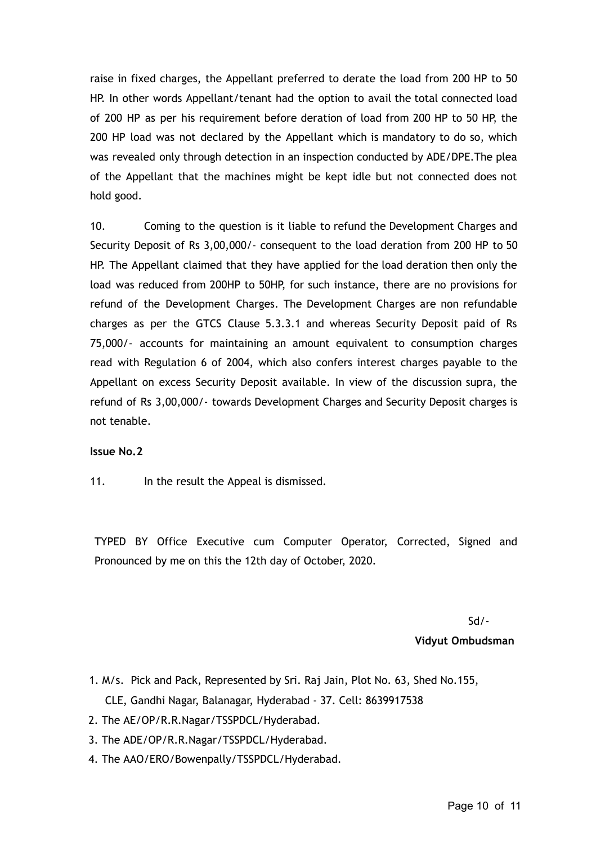raise in fixed charges, the Appellant preferred to derate the load from 200 HP to 50 HP. In other words Appellant/tenant had the option to avail the total connected load of 200 HP as per his requirement before deration of load from 200 HP to 50 HP, the 200 HP load was not declared by the Appellant which is mandatory to do so, which was revealed only through detection in an inspection conducted by ADE/DPE.The plea of the Appellant that the machines might be kept idle but not connected does not hold good.

10. Coming to the question is it liable to refund the Development Charges and Security Deposit of Rs 3,00,000/- consequent to the load deration from 200 HP to 50 HP. The Appellant claimed that they have applied for the load deration then only the load was reduced from 200HP to 50HP, for such instance, there are no provisions for refund of the Development Charges. The Development Charges are non refundable charges as per the GTCS Clause 5.3.3.1 and whereas Security Deposit paid of Rs 75,000/- accounts for maintaining an amount equivalent to consumption charges read with Regulation 6 of 2004, which also confers interest charges payable to the Appellant on excess Security Deposit available. In view of the discussion supra, the refund of Rs 3,00,000/- towards Development Charges and Security Deposit charges is not tenable.

### **Issue No.2**

11. In the result the Appeal is dismissed.

TYPED BY Office Executive cum Computer Operator, Corrected, Signed and Pronounced by me on this the 12th day of October, 2020.

> Sd/- **Vidyut Ombudsman**

- 1. M/s. Pick and Pack, Represented by Sri. Raj Jain, Plot No. 63, Shed No.155, CLE, Gandhi Nagar, Balanagar, Hyderabad - 37. Cell: 8639917538
- 2. The AE/OP/R.R.Nagar/TSSPDCL/Hyderabad.
- 3. The ADE/OP/R.R.Nagar/TSSPDCL/Hyderabad.
- 4. The AAO/ERO/Bowenpally/TSSPDCL/Hyderabad.